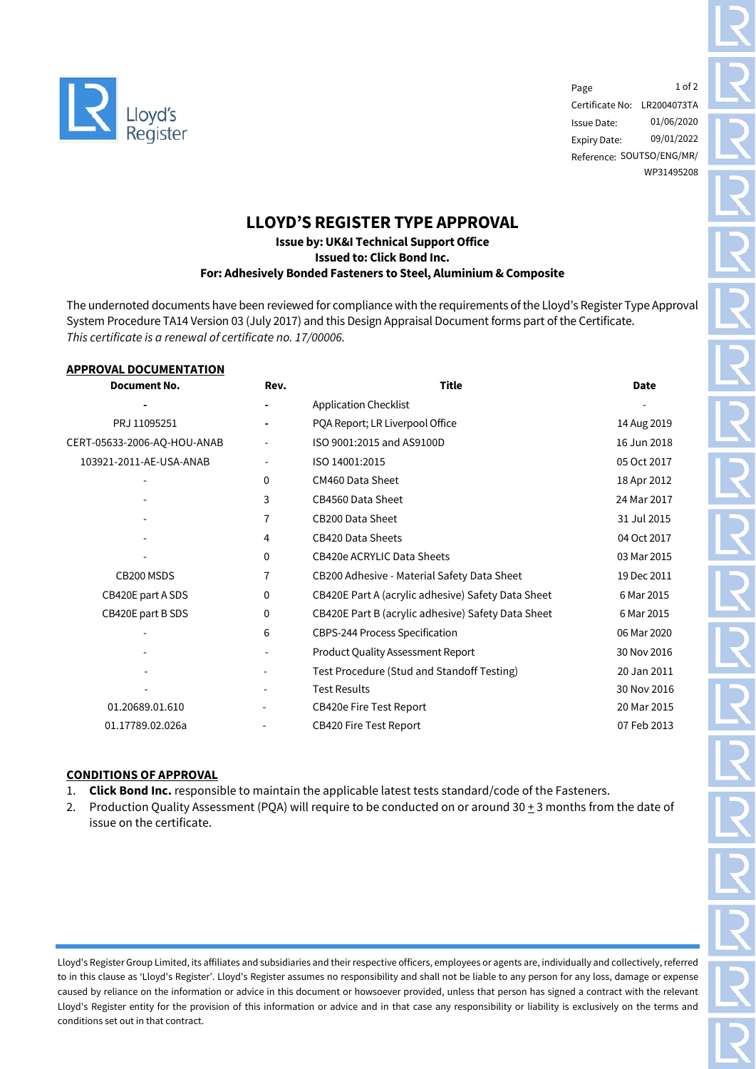

Page Certificate No: LR2004073TA Issue Date: Expiry Date: Reference: SOUTSO/ENG/MR/ 1 of 2 01/06/2020 09/01/2022 WP31495208

# **LLOYD'S REGISTER TYPE APPROVAL**

## **Issue by: UK&I Technical Support Office Issued to: Click Bond Inc. For: Adhesively Bonded Fasteners to Steel, Aluminium & Composite**

The undernoted documents have been reviewed for compliance with the requirements of the Lloyd's Register Type Approval System Procedure TA14 Version 03 (July 2017) and this Design Appraisal Document forms part of the Certificate. *This certificate is a renewal of certificate no. 17/00006.*

#### **APPROVAL DOCUMENTATION**

| <b>Document No.</b>         | Rev.                     | <b>Title</b>                                       | <b>Date</b> |
|-----------------------------|--------------------------|----------------------------------------------------|-------------|
|                             |                          | <b>Application Checklist</b>                       |             |
| PRJ 11095251                | $\blacksquare$           | PQA Report; LR Liverpool Office                    | 14 Aug 2019 |
| CERT-05633-2006-AQ-HOU-ANAB |                          | ISO 9001:2015 and AS9100D                          | 16 Jun 2018 |
| 103921-2011-AE-USA-ANAB     | ۰.                       | ISO 14001:2015                                     | 05 Oct 2017 |
|                             | 0                        | CM460 Data Sheet                                   | 18 Apr 2012 |
|                             | 3                        | CB4560 Data Sheet                                  | 24 Mar 2017 |
|                             | 7                        | CB200 Data Sheet                                   | 31 Jul 2015 |
|                             | 4                        | <b>CB420 Data Sheets</b>                           | 04 Oct 2017 |
|                             | 0                        | <b>CB420e ACRYLIC Data Sheets</b>                  | 03 Mar 2015 |
| CB200 MSDS                  | 7                        | CB200 Adhesive - Material Safety Data Sheet        | 19 Dec 2011 |
| CB420E part A SDS           | 0                        | CB420E Part A (acrylic adhesive) Safety Data Sheet | 6 Mar 2015  |
| CB420E part B SDS           | 0                        | CB420E Part B (acrylic adhesive) Safety Data Sheet | 6 Mar 2015  |
|                             | 6                        | CBPS-244 Process Specification                     | 06 Mar 2020 |
|                             |                          | Product Quality Assessment Report                  | 30 Nov 2016 |
|                             |                          | Test Procedure (Stud and Standoff Testing)         | 20 Jan 2011 |
|                             | $\overline{\phantom{a}}$ | <b>Test Results</b>                                | 30 Nov 2016 |
| 01.20689.01.610             |                          | <b>CB420e Fire Test Report</b>                     | 20 Mar 2015 |
| 01.17789.02.026a            |                          | <b>CB420 Fire Test Report</b>                      | 07 Feb 2013 |

## **CONDITIONS OF APPROVAL**

- 1. **Click Bond Inc.** responsible to maintain the applicable latest tests standard/code of the Fasteners.
- 2. Production Quality Assessment (PQA) will require to be conducted on or around 30  $\pm$  3 months from the date of issue on the certificate.

Lloyd's Register Group Limited, its affiliates and subsidiaries and their respective officers, employees or agents are, individually and collectively, referred to in this clause as 'Lloyd's Register'. Lloyd's Register assumes no responsibility and shall not be liable to any person for any loss, damage or expense caused by reliance on the information or advice in this document or howsoever provided, unless that person has signed a contract with the relevant Lloyd's Register entity for the provision of this information or advice and in that case any responsibility or liability is exclusively on the terms and conditions set out in that contract.